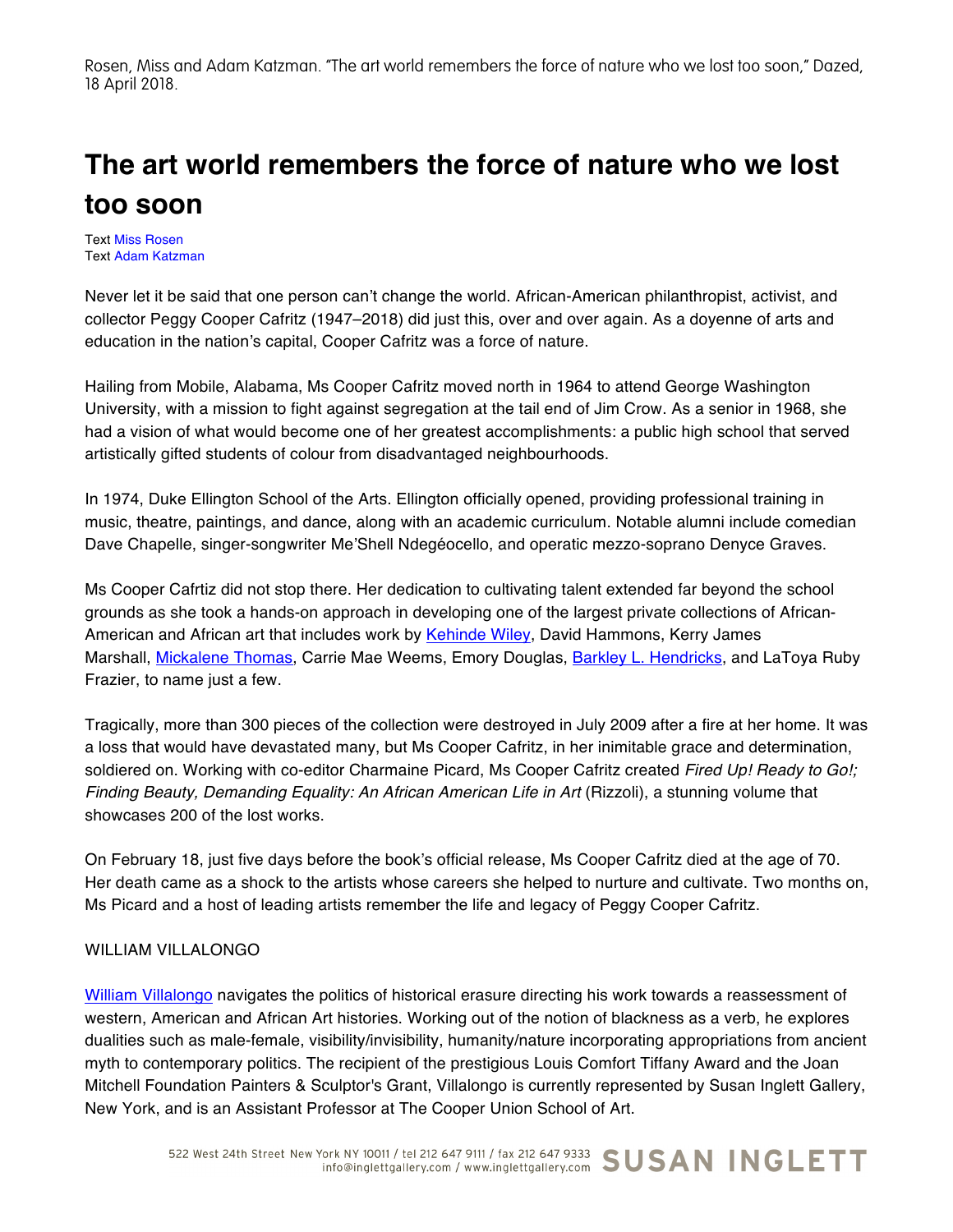Rosen, Miss and Adam Katzman. "The art world remembers the force of nature who we lost too soon," Dazed, 18 April 2018.

## **The art world remembers the force of nature who we lost too soon**

Text Miss Rosen Text Adam Katzman

Never let it be said that one person can't change the world. African-American philanthropist, activist, and collector Peggy Cooper Cafritz (1947–2018) did just this, over and over again. As a doyenne of arts and education in the nation's capital, Cooper Cafritz was a force of nature.

Hailing from Mobile, Alabama, Ms Cooper Cafritz moved north in 1964 to attend George Washington University, with a mission to fight against segregation at the tail end of Jim Crow. As a senior in 1968, she had a vision of what would become one of her greatest accomplishments: a public high school that served artistically gifted students of colour from disadvantaged neighbourhoods.

In 1974, Duke Ellington School of the Arts. Ellington officially opened, providing professional training in music, theatre, paintings, and dance, along with an academic curriculum. Notable alumni include comedian Dave Chapelle, singer-songwriter Me'Shell Ndegéocello, and operatic mezzo-soprano Denyce Graves.

Ms Cooper Cafrtiz did not stop there. Her dedication to cultivating talent extended far beyond the school grounds as she took a hands-on approach in developing one of the largest private collections of African-American and African art that includes work by Kehinde Wiley, David Hammons, Kerry James Marshall, Mickalene Thomas, Carrie Mae Weems, Emory Douglas, Barkley L. Hendricks, and LaToya Ruby Frazier, to name just a few.

Tragically, more than 300 pieces of the collection were destroyed in July 2009 after a fire at her home. It was a loss that would have devastated many, but Ms Cooper Cafritz, in her inimitable grace and determination, soldiered on. Working with co-editor Charmaine Picard, Ms Cooper Cafritz created *Fired Up! Ready to Go!; Finding Beauty, Demanding Equality: An African American Life in Art* (Rizzoli), a stunning volume that showcases 200 of the lost works.

On February 18, just five days before the book's official release, Ms Cooper Cafritz died at the age of 70. Her death came as a shock to the artists whose careers she helped to nurture and cultivate. Two months on, Ms Picard and a host of leading artists remember the life and legacy of Peggy Cooper Cafritz.

## WILLIAM VILLALONGO

William Villalongo navigates the politics of historical erasure directing his work towards a reassessment of western, American and African Art histories. Working out of the notion of blackness as a verb, he explores dualities such as male-female, visibility/invisibility, humanity/nature incorporating appropriations from ancient myth to contemporary politics. The recipient of the prestigious Louis Comfort Tiffany Award and the Joan Mitchell Foundation Painters & Sculptor's Grant, Villalongo is currently represented by Susan Inglett Gallery, New York, and is an Assistant Professor at The Cooper Union School of Art.